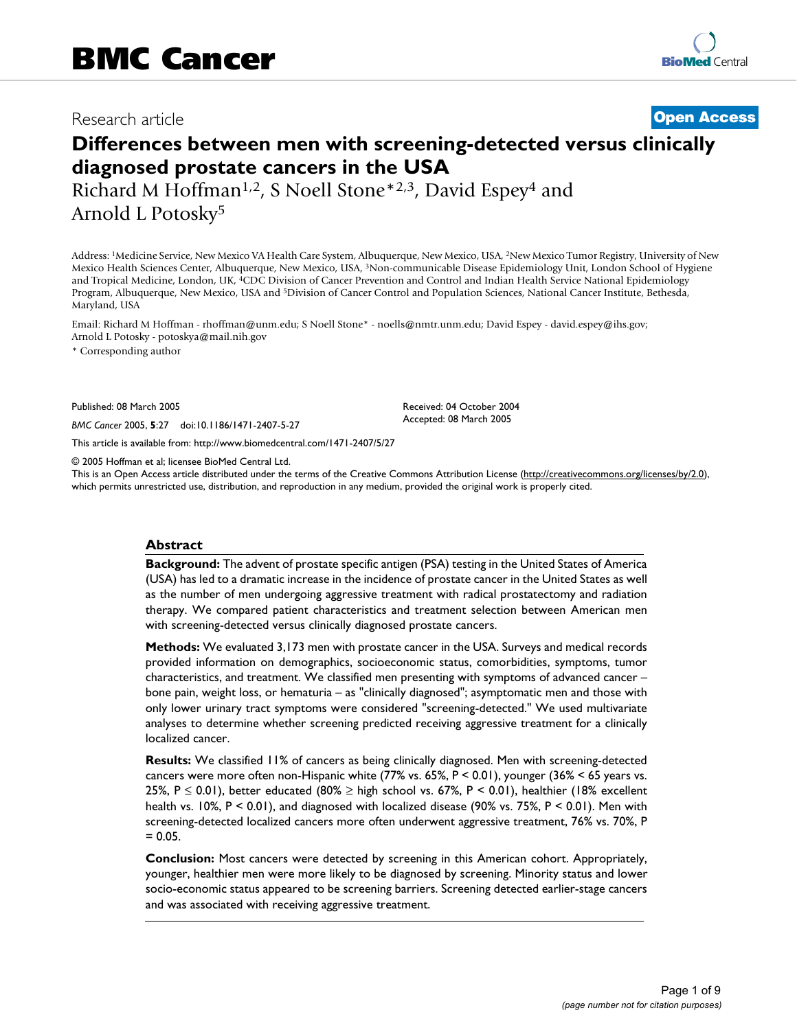# Research article **[Open Access](http://www.biomedcentral.com/info/about/charter/)**

# **Differences between men with screening-detected versus clinically diagnosed prostate cancers in the USA**

Richard M Hoffman1,2, S Noell Stone\*2,3, David Espey4 and Arnold L Potosky5

Address: 1Medicine Service, New Mexico VA Health Care System, Albuquerque, New Mexico, USA, 2New Mexico Tumor Registry, University of New Mexico Health Sciences Center, Albuquerque, New Mexico, USA, 3Non-communicable Disease Epidemiology Unit, London School of Hygiene and Tropical Medicine, London, UK, 4CDC Division of Cancer Prevention and Control and Indian Health Service National Epidemiology Program, Albuquerque, New Mexico, USA and 5Division of Cancer Control and Population Sciences, National Cancer Institute, Bethesda, Maryland, USA

Email: Richard M Hoffman - rhoffman@unm.edu; S Noell Stone\* - noells@nmtr.unm.edu; David Espey - david.espey@ihs.gov; Arnold L Potosky - potoskya@mail.nih.gov

\* Corresponding author

Published: 08 March 2005

*BMC Cancer* 2005, **5**:27 doi:10.1186/1471-2407-5-27

[This article is available from: http://www.biomedcentral.com/1471-2407/5/27](http://www.biomedcentral.com/1471-2407/5/27)

© 2005 Hoffman et al; licensee BioMed Central Ltd.

This is an Open Access article distributed under the terms of the Creative Commons Attribution License [\(http://creativecommons.org/licenses/by/2.0\)](http://creativecommons.org/licenses/by/2.0), which permits unrestricted use, distribution, and reproduction in any medium, provided the original work is properly cited.

Received: 04 October 2004 Accepted: 08 March 2005

#### **Abstract**

**Background:** The advent of prostate specific antigen (PSA) testing in the United States of America (USA) has led to a dramatic increase in the incidence of prostate cancer in the United States as well as the number of men undergoing aggressive treatment with radical prostatectomy and radiation therapy. We compared patient characteristics and treatment selection between American men with screening-detected versus clinically diagnosed prostate cancers.

**Methods:** We evaluated 3,173 men with prostate cancer in the USA. Surveys and medical records provided information on demographics, socioeconomic status, comorbidities, symptoms, tumor characteristics, and treatment. We classified men presenting with symptoms of advanced cancer – bone pain, weight loss, or hematuria – as "clinically diagnosed"; asymptomatic men and those with only lower urinary tract symptoms were considered "screening-detected." We used multivariate analyses to determine whether screening predicted receiving aggressive treatment for a clinically localized cancer.

**Results:** We classified 11% of cancers as being clinically diagnosed. Men with screening-detected cancers were more often non-Hispanic white (77% vs. 65%, P < 0.01), younger (36% < 65 years vs. 25%, P  $\leq$  0.01), better educated (80%  $\geq$  high school vs. 67%, P < 0.01), healthier (18% excellent health vs. 10%, P < 0.01), and diagnosed with localized disease (90% vs. 75%, P < 0.01). Men with screening-detected localized cancers more often underwent aggressive treatment, 76% vs. 70%, P  $= 0.05.$ 

**Conclusion:** Most cancers were detected by screening in this American cohort. Appropriately, younger, healthier men were more likely to be diagnosed by screening. Minority status and lower socio-economic status appeared to be screening barriers. Screening detected earlier-stage cancers and was associated with receiving aggressive treatment.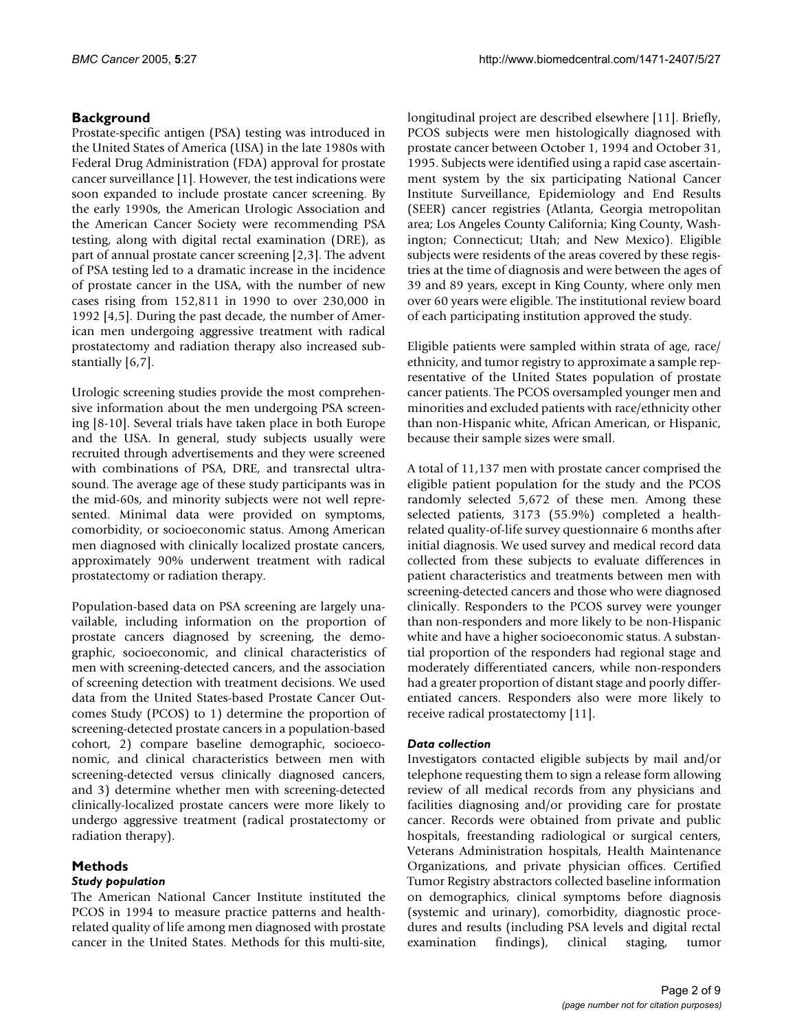# **Background**

Prostate-specific antigen (PSA) testing was introduced in the United States of America (USA) in the late 1980s with Federal Drug Administration (FDA) approval for prostate cancer surveillance [1]. However, the test indications were soon expanded to include prostate cancer screening. By the early 1990s, the American Urologic Association and the American Cancer Society were recommending PSA testing, along with digital rectal examination (DRE), as part of annual prostate cancer screening [2,3]. The advent of PSA testing led to a dramatic increase in the incidence of prostate cancer in the USA, with the number of new cases rising from 152,811 in 1990 to over 230,000 in 1992 [4,5]. During the past decade, the number of American men undergoing aggressive treatment with radical prostatectomy and radiation therapy also increased substantially [6,7].

Urologic screening studies provide the most comprehensive information about the men undergoing PSA screening [8-10]. Several trials have taken place in both Europe and the USA. In general, study subjects usually were recruited through advertisements and they were screened with combinations of PSA, DRE, and transrectal ultrasound. The average age of these study participants was in the mid-60s, and minority subjects were not well represented. Minimal data were provided on symptoms, comorbidity, or socioeconomic status. Among American men diagnosed with clinically localized prostate cancers, approximately 90% underwent treatment with radical prostatectomy or radiation therapy.

Population-based data on PSA screening are largely unavailable, including information on the proportion of prostate cancers diagnosed by screening, the demographic, socioeconomic, and clinical characteristics of men with screening-detected cancers, and the association of screening detection with treatment decisions. We used data from the United States-based Prostate Cancer Outcomes Study (PCOS) to 1) determine the proportion of screening-detected prostate cancers in a population-based cohort, 2) compare baseline demographic, socioeconomic, and clinical characteristics between men with screening-detected versus clinically diagnosed cancers, and 3) determine whether men with screening-detected clinically-localized prostate cancers were more likely to undergo aggressive treatment (radical prostatectomy or radiation therapy).

# **Methods**

# *Study population*

The American National Cancer Institute instituted the PCOS in 1994 to measure practice patterns and healthrelated quality of life among men diagnosed with prostate cancer in the United States. Methods for this multi-site,

longitudinal project are described elsewhere [11]. Briefly, PCOS subjects were men histologically diagnosed with prostate cancer between October 1, 1994 and October 31, 1995. Subjects were identified using a rapid case ascertainment system by the six participating National Cancer Institute Surveillance, Epidemiology and End Results (SEER) cancer registries (Atlanta, Georgia metropolitan area; Los Angeles County California; King County, Washington; Connecticut; Utah; and New Mexico). Eligible subjects were residents of the areas covered by these registries at the time of diagnosis and were between the ages of 39 and 89 years, except in King County, where only men over 60 years were eligible. The institutional review board of each participating institution approved the study.

Eligible patients were sampled within strata of age, race/ ethnicity, and tumor registry to approximate a sample representative of the United States population of prostate cancer patients. The PCOS oversampled younger men and minorities and excluded patients with race/ethnicity other than non-Hispanic white, African American, or Hispanic, because their sample sizes were small.

A total of 11,137 men with prostate cancer comprised the eligible patient population for the study and the PCOS randomly selected 5,672 of these men. Among these selected patients, 3173 (55.9%) completed a healthrelated quality-of-life survey questionnaire 6 months after initial diagnosis. We used survey and medical record data collected from these subjects to evaluate differences in patient characteristics and treatments between men with screening-detected cancers and those who were diagnosed clinically. Responders to the PCOS survey were younger than non-responders and more likely to be non-Hispanic white and have a higher socioeconomic status. A substantial proportion of the responders had regional stage and moderately differentiated cancers, while non-responders had a greater proportion of distant stage and poorly differentiated cancers. Responders also were more likely to receive radical prostatectomy [11].

## *Data collection*

Investigators contacted eligible subjects by mail and/or telephone requesting them to sign a release form allowing review of all medical records from any physicians and facilities diagnosing and/or providing care for prostate cancer. Records were obtained from private and public hospitals, freestanding radiological or surgical centers, Veterans Administration hospitals, Health Maintenance Organizations, and private physician offices. Certified Tumor Registry abstractors collected baseline information on demographics, clinical symptoms before diagnosis (systemic and urinary), comorbidity, diagnostic procedures and results (including PSA levels and digital rectal examination findings), clinical staging, tumor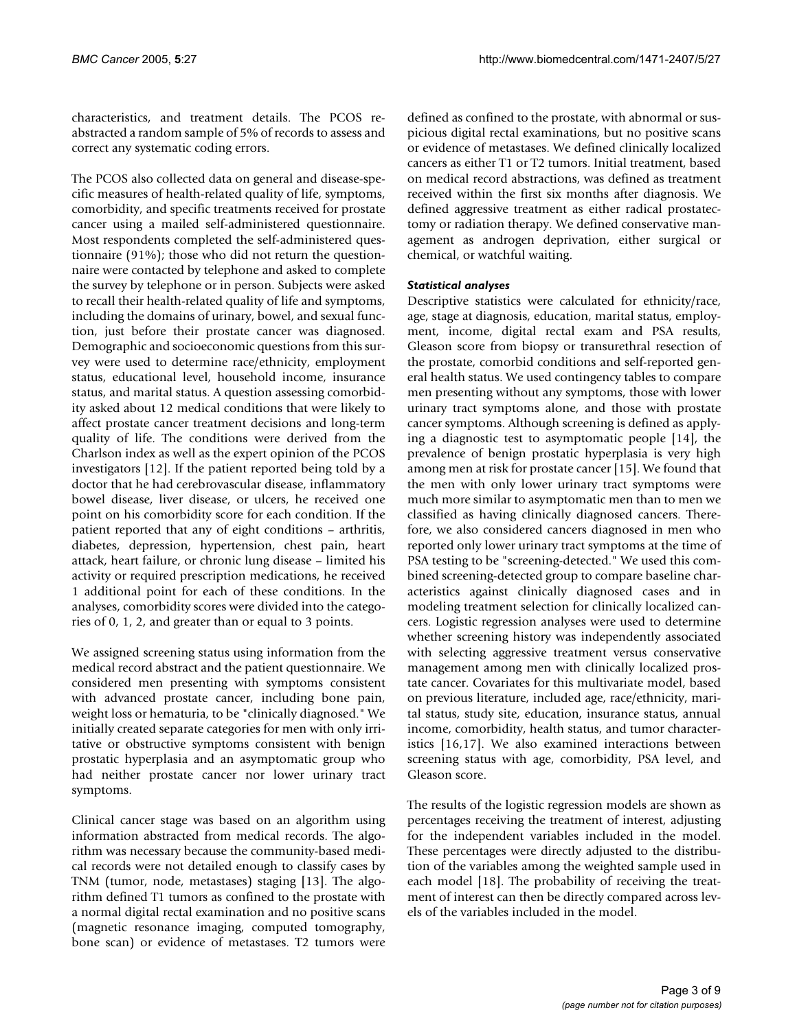characteristics, and treatment details. The PCOS reabstracted a random sample of 5% of records to assess and correct any systematic coding errors.

The PCOS also collected data on general and disease-specific measures of health-related quality of life, symptoms, comorbidity, and specific treatments received for prostate cancer using a mailed self-administered questionnaire. Most respondents completed the self-administered questionnaire (91%); those who did not return the questionnaire were contacted by telephone and asked to complete the survey by telephone or in person. Subjects were asked to recall their health-related quality of life and symptoms, including the domains of urinary, bowel, and sexual function, just before their prostate cancer was diagnosed. Demographic and socioeconomic questions from this survey were used to determine race/ethnicity, employment status, educational level, household income, insurance status, and marital status. A question assessing comorbidity asked about 12 medical conditions that were likely to affect prostate cancer treatment decisions and long-term quality of life. The conditions were derived from the Charlson index as well as the expert opinion of the PCOS investigators [12]. If the patient reported being told by a doctor that he had cerebrovascular disease, inflammatory bowel disease, liver disease, or ulcers, he received one point on his comorbidity score for each condition. If the patient reported that any of eight conditions – arthritis, diabetes, depression, hypertension, chest pain, heart attack, heart failure, or chronic lung disease – limited his activity or required prescription medications, he received 1 additional point for each of these conditions. In the analyses, comorbidity scores were divided into the categories of 0, 1, 2, and greater than or equal to 3 points.

We assigned screening status using information from the medical record abstract and the patient questionnaire. We considered men presenting with symptoms consistent with advanced prostate cancer, including bone pain, weight loss or hematuria, to be "clinically diagnosed." We initially created separate categories for men with only irritative or obstructive symptoms consistent with benign prostatic hyperplasia and an asymptomatic group who had neither prostate cancer nor lower urinary tract symptoms.

Clinical cancer stage was based on an algorithm using information abstracted from medical records. The algorithm was necessary because the community-based medical records were not detailed enough to classify cases by TNM (tumor, node, metastases) staging [13]. The algorithm defined T1 tumors as confined to the prostate with a normal digital rectal examination and no positive scans (magnetic resonance imaging, computed tomography, bone scan) or evidence of metastases. T2 tumors were defined as confined to the prostate, with abnormal or suspicious digital rectal examinations, but no positive scans or evidence of metastases. We defined clinically localized cancers as either T1 or T2 tumors. Initial treatment, based on medical record abstractions, was defined as treatment received within the first six months after diagnosis. We defined aggressive treatment as either radical prostatectomy or radiation therapy. We defined conservative management as androgen deprivation, either surgical or chemical, or watchful waiting.

## *Statistical analyses*

Descriptive statistics were calculated for ethnicity/race, age, stage at diagnosis, education, marital status, employment, income, digital rectal exam and PSA results, Gleason score from biopsy or transurethral resection of the prostate, comorbid conditions and self-reported general health status. We used contingency tables to compare men presenting without any symptoms, those with lower urinary tract symptoms alone, and those with prostate cancer symptoms. Although screening is defined as applying a diagnostic test to asymptomatic people [14], the prevalence of benign prostatic hyperplasia is very high among men at risk for prostate cancer [15]. We found that the men with only lower urinary tract symptoms were much more similar to asymptomatic men than to men we classified as having clinically diagnosed cancers. Therefore, we also considered cancers diagnosed in men who reported only lower urinary tract symptoms at the time of PSA testing to be "screening-detected." We used this combined screening-detected group to compare baseline characteristics against clinically diagnosed cases and in modeling treatment selection for clinically localized cancers. Logistic regression analyses were used to determine whether screening history was independently associated with selecting aggressive treatment versus conservative management among men with clinically localized prostate cancer. Covariates for this multivariate model, based on previous literature, included age, race/ethnicity, marital status, study site, education, insurance status, annual income, comorbidity, health status, and tumor characteristics [16,17]. We also examined interactions between screening status with age, comorbidity, PSA level, and Gleason score.

The results of the logistic regression models are shown as percentages receiving the treatment of interest, adjusting for the independent variables included in the model. These percentages were directly adjusted to the distribution of the variables among the weighted sample used in each model [18]. The probability of receiving the treatment of interest can then be directly compared across levels of the variables included in the model.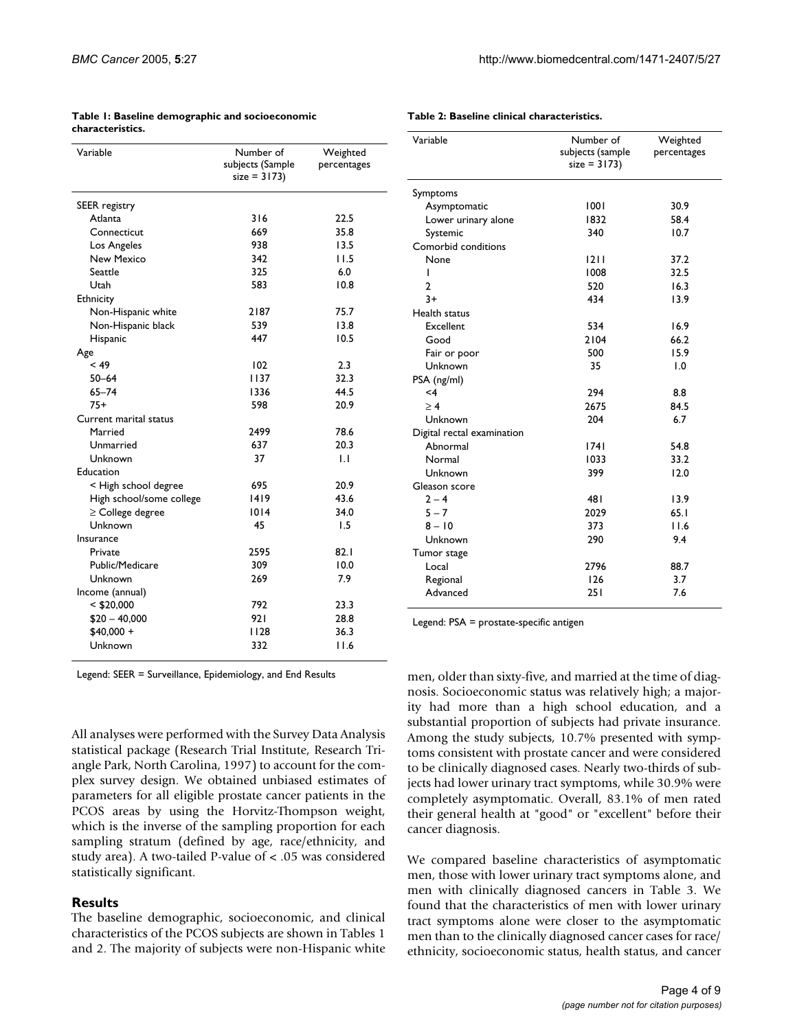| Variable                 | Number of<br>subjects (Sample<br>$size = 3173$ | Weighted<br>percentages |
|--------------------------|------------------------------------------------|-------------------------|
| <b>SEER</b> registry     |                                                |                         |
| Atlanta                  | 316                                            | 22.5                    |
| Connecticut              | 669                                            | 35.8                    |
| Los Angeles              | 938                                            | 13.5                    |
| New Mexico               | 342                                            | l I.5                   |
| Seattle                  | 325                                            | 6.0                     |
| Utah                     | 583                                            | 10.8                    |
| <b>Ethnicity</b>         |                                                |                         |
| Non-Hispanic white       | 2187                                           | 75.7                    |
| Non-Hispanic black       | 539                                            | 13.8                    |
| Hispanic                 | 447                                            | 10.5                    |
| Age                      |                                                |                         |
| < 49                     | 102                                            | 2.3                     |
| $50 - 64$                | 1137                                           | 32.3                    |
| $65 - 74$                | 1336                                           | 44.5                    |
| $75+$                    | 598                                            | 20.9                    |
| Current marital status   |                                                |                         |
| Married                  | 2499                                           | 78.6                    |
| Unmarried                | 637                                            | 20.3                    |
| Unknown                  | 37                                             | IJ                      |
| Education                |                                                |                         |
| < High school degree     | 695                                            | 20.9                    |
| High school/some college | 1419                                           | 43.6                    |
| $\geq$ College degree    | 1014                                           | 34.0                    |
| Unknown                  | 45                                             | 1.5                     |
| Insurance                |                                                |                         |
| Private                  | 2595                                           | 82.1                    |
| Public/Medicare          | 309                                            | 10.0                    |
| Unknown                  | 269                                            | 7.9                     |
| Income (annual)          |                                                |                         |
| $<$ \$20,000             | 792                                            | 23.3                    |
| $$20 - 40,000$           | 921                                            | 28.8                    |
| $$40,000 +$              | 1128                                           | 36.3                    |
| Unknown                  | 332                                            | 11.6                    |

| Table 1: Baseline demographic and socioeconomic |  |
|-------------------------------------------------|--|
| characteristics.                                |  |

#### Variable Number of subjects (sample size = 3173) Weighted percentages Symptoms Asymptomatic 1001 30.9 Lower urinary alone 1832 58.4 Systemic 340 10.7 Comorbid conditions None 1211 37.2 1 1008 32.5 2 520 16.3 3+ 434 13.9 Health status Excellent 16.9 Good 2104 66.2 Fair or poor 500 15.9 Unknown 35 1.0 PSA (ng/ml)  $<$ 4 8.8  $\geq 4$  2675 84.5 Unknown 204 6.7 Digital rectal examination Abnormal 1741 54.8 Normal 1033 33.2 Unknown 399 12.0 Gleason score<br> $2 - 4$  $2-4$  13.9 5 – 7 2029 65.1 8 – 10 373 11.6 Unknown 290 9.4 Tumor stage Local 2796 88.7 Regional 126 3.7 Advanced 251 7.6

Legend: PSA = prostate-specific antigen

<span id="page-3-0"></span>**Table 2: Baseline clinical characteristics.**

Legend: SEER = Surveillance, Epidemiology, and End Results

All analyses were performed with the Survey Data Analysis statistical package (Research Trial Institute, Research Triangle Park, North Carolina, 1997) to account for the complex survey design. We obtained unbiased estimates of parameters for all eligible prostate cancer patients in the PCOS areas by using the Horvitz-Thompson weight, which is the inverse of the sampling proportion for each sampling stratum (defined by age, race/ethnicity, and study area). A two-tailed P-value of < .05 was considered statistically significant.

## **Results**

The baseline demographic, socioeconomic, and clinical characteristics of the PCOS subjects are shown in Tables 1 and [2](#page-3-0). The majority of subjects were non-Hispanic white men, older than sixty-five, and married at the time of diagnosis. Socioeconomic status was relatively high; a majority had more than a high school education, and a substantial proportion of subjects had private insurance. Among the study subjects, 10.7% presented with symptoms consistent with prostate cancer and were considered to be clinically diagnosed cases. Nearly two-thirds of subjects had lower urinary tract symptoms, while 30.9% were completely asymptomatic. Overall, 83.1% of men rated their general health at "good" or "excellent" before their cancer diagnosis.

We compared baseline characteristics of asymptomatic men, those with lower urinary tract symptoms alone, and men with clinically diagnosed cancers in Table [3](#page-4-0). We found that the characteristics of men with lower urinary tract symptoms alone were closer to the asymptomatic men than to the clinically diagnosed cancer cases for race/ ethnicity, socioeconomic status, health status, and cancer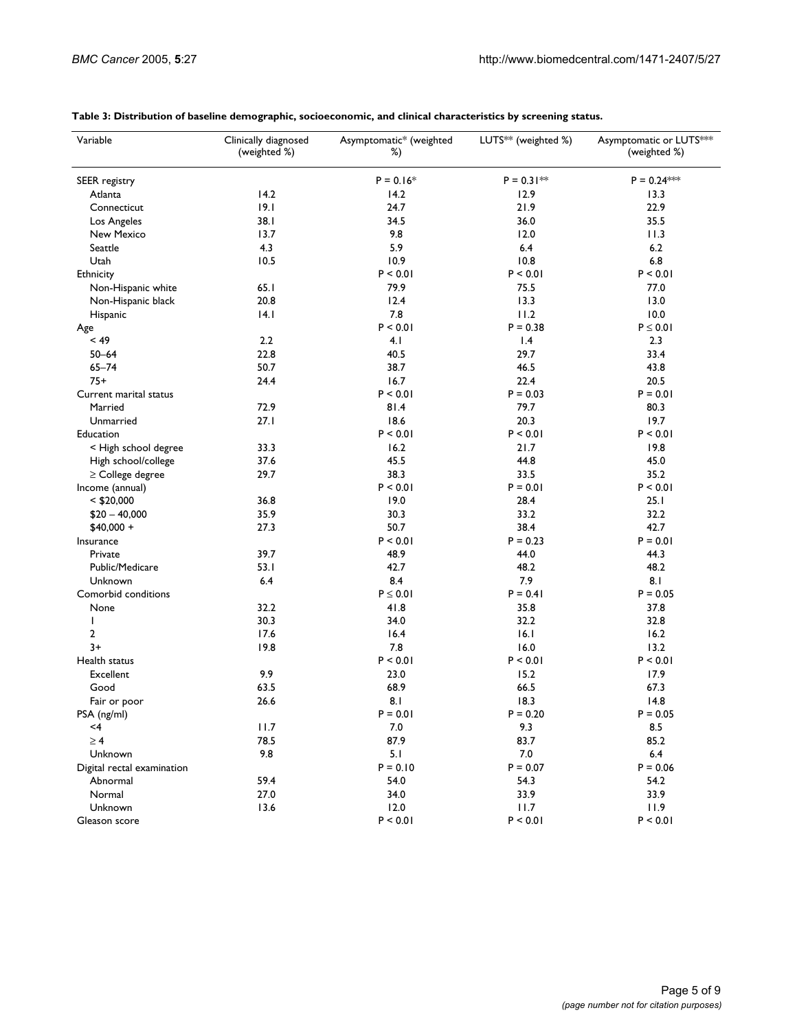| Variable                   | Clinically diagnosed<br>(weighted %) | Asymptomatic* (weighted<br>%) | LUTS <sup>**</sup> (weighted %) | Asymptomatic or LUTS***<br>(weighted %) |
|----------------------------|--------------------------------------|-------------------------------|---------------------------------|-----------------------------------------|
| <b>SEER</b> registry       |                                      | $P = 0.16*$                   | $P = 0.31**$                    | $P = 0.24$ **                           |
| Atlanta                    | 14.2                                 | 14.2                          | 12.9                            | 13.3                                    |
| Connecticut                | 9.1                                  | 24.7                          | 21.9                            | 22.9                                    |
| Los Angeles                | 38.I                                 | 34.5                          | 36.0                            | 35.5                                    |
| New Mexico                 | 13.7                                 | 9.8                           | 12.0                            | 11.3                                    |
| Seattle                    | 4.3                                  | 5.9                           | 6.4                             | 6.2                                     |
| Utah                       | 10.5                                 | 10.9                          | 10.8                            | $6.8\,$                                 |
| Ethnicity                  |                                      | P < 0.01                      | P < 0.01                        | P < 0.01                                |
| Non-Hispanic white         | 65.1                                 | 79.9                          | 75.5                            | 77.0                                    |
| Non-Hispanic black         | 20.8                                 | 12.4                          | 13.3                            | 13.0                                    |
| Hispanic                   | 4.1                                  | 7.8                           | 11.2                            | 10.0                                    |
| Age                        |                                      | P < 0.01                      | $P = 0.38$                      | $P \leq 0.01$                           |
| < 49                       | 2.2                                  | 4.1                           | 1.4                             | 2.3                                     |
| $50 - 64$                  | 22.8                                 | 40.5                          | 29.7                            | 33.4                                    |
| $65 - 74$                  | 50.7                                 | 38.7                          | 46.5                            | 43.8                                    |
| $75+$                      | 24.4                                 | 16.7                          | 22.4                            | 20.5                                    |
| Current marital status     |                                      | P < 0.01                      | $P = 0.03$                      | $P = 0.01$                              |
| Married                    | 72.9                                 | 81.4                          | 79.7                            | 80.3                                    |
| Unmarried                  | 27.1                                 | 18.6                          | 20.3                            | 19.7                                    |
| Education                  |                                      | P < 0.01                      | P < 0.01                        | P < 0.01                                |
| < High school degree       | 33.3                                 | 16.2                          | 21.7                            | 19.8                                    |
| High school/college        | 37.6                                 | 45.5                          | 44.8                            | 45.0                                    |
| $\geq$ College degree      | 29.7                                 | 38.3                          | 33.5                            | 35.2                                    |
| Income (annual)            |                                      | P < 0.01                      | $P = 0.01$                      | P < 0.01                                |
| $<$ \$20,000               | 36.8                                 | 19.0                          | 28.4                            | 25.1                                    |
| $$20 - 40,000$             | 35.9                                 | 30.3                          | 33.2                            | 32.2                                    |
| $$40,000 +$                | 27.3                                 | 50.7                          | 38.4                            | 42.7                                    |
| Insurance                  |                                      | P < 0.01                      | $P = 0.23$                      | $P = 0.01$                              |
| Private                    | 39.7                                 | 48.9                          | 44.0                            | 44.3                                    |
| Public/Medicare            | 53.1                                 | 42.7                          | 48.2                            | 48.2                                    |
| Unknown                    | 6.4                                  | 8.4                           | 7.9                             | 8.1                                     |
| Comorbid conditions        |                                      | $P \leq 0.01$                 | $P = 0.41$                      | $P = 0.05$                              |
| None                       | 32.2                                 | 41.8                          | 35.8                            | 37.8                                    |
| I                          | 30.3                                 | 34.0                          | 32.2                            | 32.8                                    |
| $\overline{2}$             | 17.6                                 | 16.4                          | 16.1                            | 16.2                                    |
| $3+$                       | 19.8                                 | 7.8                           | 16.0                            | 13.2                                    |
| Health status              |                                      | P < 0.01                      | P < 0.01                        | P < 0.01                                |
| Excellent                  | 9.9                                  | 23.0                          | 15.2                            | 17.9                                    |
| Good                       | 63.5                                 | 68.9                          | 66.5                            | 67.3                                    |
| Fair or poor               | 26.6                                 | 8.1                           | 18.3                            | 14.8                                    |
| PSA (ng/ml)                |                                      | $P = 0.01$                    | $P = 0.20$                      | $P = 0.05$                              |
| <4                         | 11.7                                 | 7.0                           | 9.3                             | 8.5                                     |
| $\geq 4$                   | 78.5                                 | 87.9                          | 83.7                            | 85.2                                    |
| Unknown                    | 9.8                                  | 5.1                           | 7.0                             | 6.4                                     |
| Digital rectal examination |                                      | $P = 0.10$                    | $P = 0.07$                      | $P = 0.06$                              |
| Abnormal                   | 59.4                                 | 54.0                          | 54.3                            | 54.2                                    |
| Normal                     | 27.0                                 | 34.0                          | 33.9                            | 33.9                                    |
| Unknown                    | 13.6                                 | 12.0                          | 11.7                            | 11.9                                    |
| Gleason score              |                                      | P < 0.01                      | P < 0.01                        | P < 0.01                                |

#### <span id="page-4-0"></span>**Table 3: Distribution of baseline demographic, socioeconomic, and clinical characteristics by screening status.**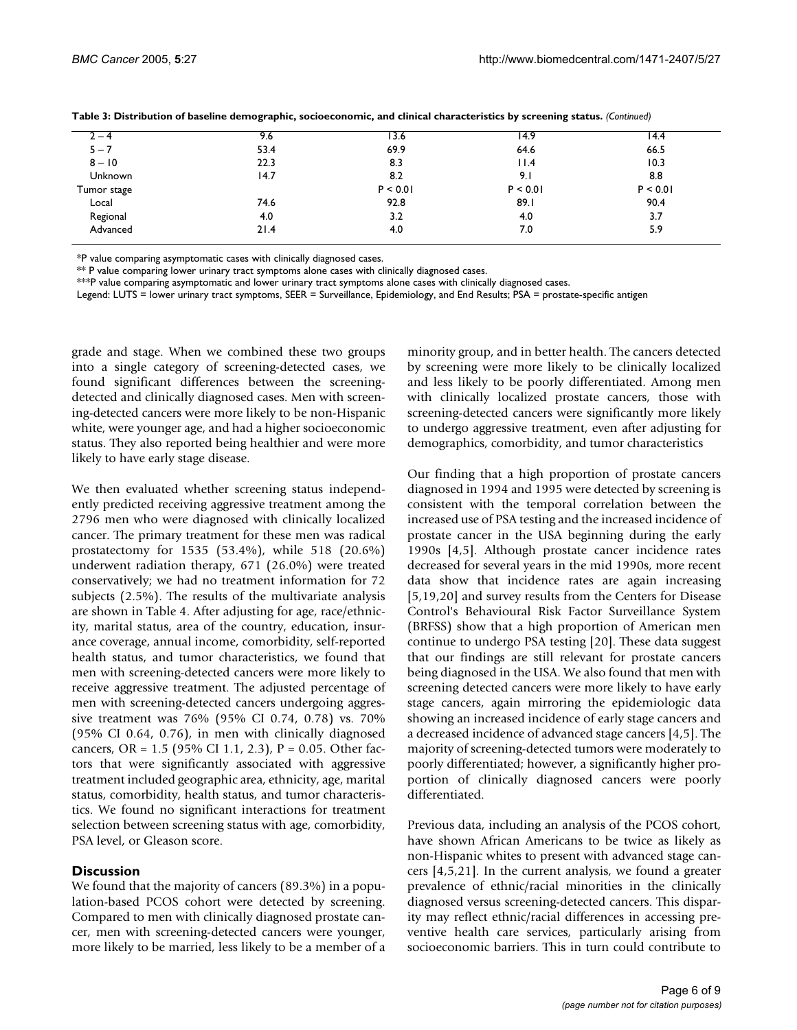| $2 - 4$        | 9.6  | 13.6     | 14.9     | 14.4     |
|----------------|------|----------|----------|----------|
| $5 - 7$        | 53.4 | 69.9     | 64.6     | 66.5     |
| $8 - 10$       | 22.3 | 8.3      | 11.4     | 10.3     |
| <b>Unknown</b> | 14.7 | 8.2      | 9.1      | 8.8      |
| Tumor stage    |      | P < 0.01 | P < 0.01 | P < 0.01 |
| Local          | 74.6 | 92.8     | 89.I     | 90.4     |
| Regional       | 4.0  | 3.2      | 4.0      | 3.7      |
| Advanced       | 21.4 | 4.0      | 7.0      | 5.9      |
|                |      |          |          |          |

**Table 3: Distribution of baseline demographic, socioeconomic, and clinical characteristics by screening status.** *(Continued)*

\*P value comparing asymptomatic cases with clinically diagnosed cases.

\*\* P value comparing lower urinary tract symptoms alone cases with clinically diagnosed cases.

\*\*\*P value comparing asymptomatic and lower urinary tract symptoms alone cases with clinically diagnosed cases.

Legend: LUTS = lower urinary tract symptoms, SEER = Surveillance, Epidemiology, and End Results; PSA = prostate-specific antigen

grade and stage. When we combined these two groups into a single category of screening-detected cases, we found significant differences between the screeningdetected and clinically diagnosed cases. Men with screening-detected cancers were more likely to be non-Hispanic white, were younger age, and had a higher socioeconomic status. They also reported being healthier and were more likely to have early stage disease.

We then evaluated whether screening status independently predicted receiving aggressive treatment among the 2796 men who were diagnosed with clinically localized cancer. The primary treatment for these men was radical prostatectomy for 1535 (53.4%), while 518 (20.6%) underwent radiation therapy, 671 (26.0%) were treated conservatively; we had no treatment information for 72 subjects (2.5%). The results of the multivariate analysis are shown in Table 4. After adjusting for age, race/ethnicity, marital status, area of the country, education, insurance coverage, annual income, comorbidity, self-reported health status, and tumor characteristics, we found that men with screening-detected cancers were more likely to receive aggressive treatment. The adjusted percentage of men with screening-detected cancers undergoing aggressive treatment was 76% (95% CI 0.74, 0.78) vs. 70% (95% CI 0.64, 0.76), in men with clinically diagnosed cancers, OR = 1.5 (95% CI 1.1, 2.3), P = 0.05. Other factors that were significantly associated with aggressive treatment included geographic area, ethnicity, age, marital status, comorbidity, health status, and tumor characteristics. We found no significant interactions for treatment selection between screening status with age, comorbidity, PSA level, or Gleason score.

# **Discussion**

We found that the majority of cancers (89.3%) in a population-based PCOS cohort were detected by screening. Compared to men with clinically diagnosed prostate cancer, men with screening-detected cancers were younger, more likely to be married, less likely to be a member of a minority group, and in better health. The cancers detected by screening were more likely to be clinically localized and less likely to be poorly differentiated. Among men with clinically localized prostate cancers, those with screening-detected cancers were significantly more likely to undergo aggressive treatment, even after adjusting for demographics, comorbidity, and tumor characteristics

Our finding that a high proportion of prostate cancers diagnosed in 1994 and 1995 were detected by screening is consistent with the temporal correlation between the increased use of PSA testing and the increased incidence of prostate cancer in the USA beginning during the early 1990s [4,5]. Although prostate cancer incidence rates decreased for several years in the mid 1990s, more recent data show that incidence rates are again increasing [5,19,20] and survey results from the Centers for Disease Control's Behavioural Risk Factor Surveillance System (BRFSS) show that a high proportion of American men continue to undergo PSA testing [20]. These data suggest that our findings are still relevant for prostate cancers being diagnosed in the USA. We also found that men with screening detected cancers were more likely to have early stage cancers, again mirroring the epidemiologic data showing an increased incidence of early stage cancers and a decreased incidence of advanced stage cancers [4,5]. The majority of screening-detected tumors were moderately to poorly differentiated; however, a significantly higher proportion of clinically diagnosed cancers were poorly differentiated.

Previous data, including an analysis of the PCOS cohort, have shown African Americans to be twice as likely as non-Hispanic whites to present with advanced stage cancers [4,5,21]. In the current analysis, we found a greater prevalence of ethnic/racial minorities in the clinically diagnosed versus screening-detected cancers. This disparity may reflect ethnic/racial differences in accessing preventive health care services, particularly arising from socioeconomic barriers. This in turn could contribute to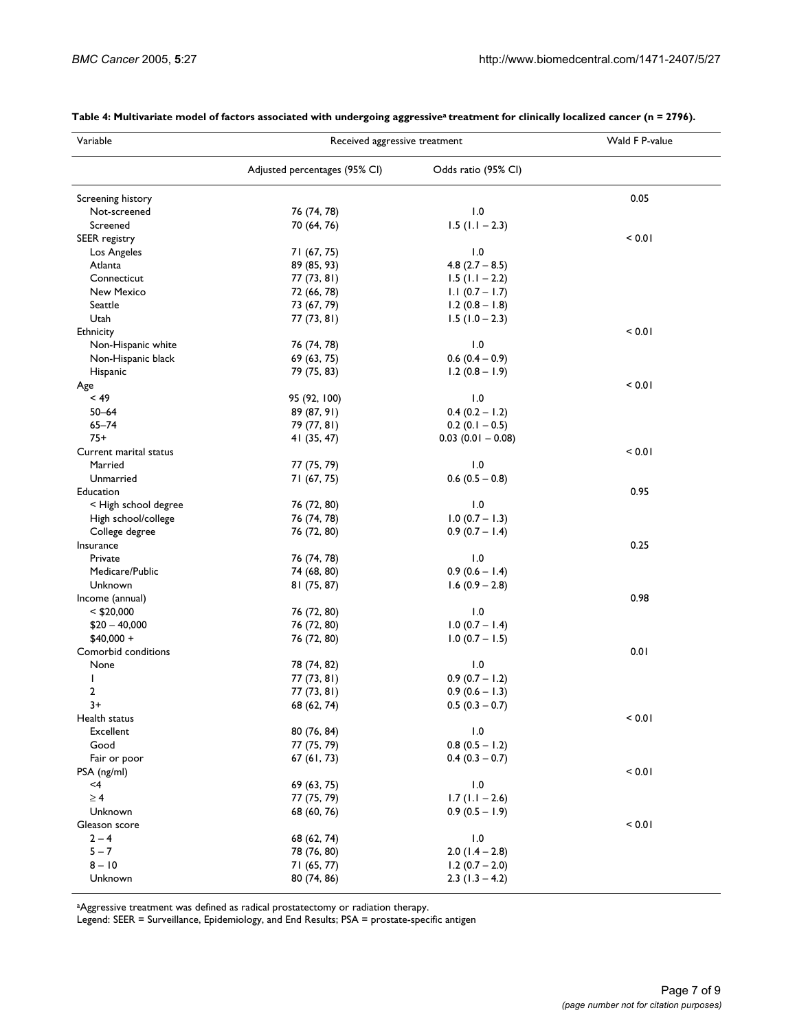| Variable                 | Received aggressive treatment |                                      | Wald F P-value |
|--------------------------|-------------------------------|--------------------------------------|----------------|
|                          | Adjusted percentages (95% CI) | Odds ratio (95% CI)                  |                |
| Screening history        |                               |                                      | 0.05           |
| Not-screened             | 76 (74, 78)                   | 1.0                                  |                |
| Screened                 | 70 (64, 76)                   | $1.5$ (1.1 - 2.3)                    |                |
| SEER registry            |                               |                                      | < 0.01         |
| Los Angeles              | 71 (67, 75)                   | 1.0                                  |                |
| Atlanta                  | 89 (85, 93)                   | 4.8 $(2.7 - 8.5)$                    |                |
| Connecticut              | 77 (73, 81)                   | $1.5$ (1.1 – 2.2)                    |                |
| <b>New Mexico</b>        | 72 (66, 78)                   | $1.1 (0.7 - 1.7)$                    |                |
| Seattle                  | 73 (67, 79)                   | $1.2(0.8 - 1.8)$                     |                |
| Utah                     | 77 (73, 81)                   | $1.5(1.0 - 2.3)$                     |                |
| Ethnicity                |                               |                                      | < 0.01         |
| Non-Hispanic white       | 76 (74, 78)                   | 1.0                                  |                |
| Non-Hispanic black       | 69 (63, 75)                   | $0.6$ (0.4 - 0.9)                    |                |
| Hispanic                 | 79 (75, 83)                   | $1.2(0.8 - 1.9)$                     |                |
| Age                      |                               |                                      | < 0.01         |
| < 49                     | 95 (92, 100)                  | 1.0                                  |                |
| $50 - 64$                | 89 (87, 91)                   | $0.4(0.2 - 1.2)$                     |                |
| $65 - 74$                | 79 (77, 81)                   | $0.2$ (0.1 - 0.5)                    |                |
| $75+$                    | 41 (35, 47)                   | $0.03$ (0.01 - 0.08)                 |                |
| Current marital status   |                               |                                      | < 0.01         |
| Married                  | 77 (75, 79)                   | 1.0                                  |                |
| Unmarried                | 71 (67, 75)                   | $0.6$ (0.5 - 0.8)                    |                |
| Education                |                               |                                      | 0.95           |
| < High school degree     | 76 (72, 80)                   | 1.0                                  |                |
| High school/college      | 76 (74, 78)                   | $1.0$ (0.7 – 1.3)                    |                |
| College degree           | 76 (72, 80)                   | $0.9(0.7 - 1.4)$                     |                |
| Insurance                |                               |                                      | 0.25           |
| Private                  | 76 (74, 78)                   | 1.0                                  |                |
| Medicare/Public          | 74 (68, 80)                   | $0.9(0.6 - 1.4)$                     |                |
| Unknown                  | 81 (75, 87)                   | $1.6$ (0.9 – 2.8)                    |                |
| Income (annual)          |                               |                                      | 0.98           |
| $<$ \$20,000             | 76 (72, 80)                   | 1.0                                  |                |
| $$20 - 40,000$           | 76 (72, 80)                   | $1.0$ (0.7 – 1.4)                    |                |
| $$40,000 +$              | 76 (72, 80)                   | $1.0$ (0.7 – 1.5)                    |                |
| Comorbid conditions      |                               |                                      | 0.01           |
| None                     | 78 (74, 82)                   | 1.0                                  |                |
| J.                       | 77 (73, 81)                   | $0.9(0.7 - 1.2)$                     |                |
| 2                        | 77 (73, 81)                   | $0.9(0.6 - 1.3)$                     |                |
| $3+$                     | 68 (62, 74)                   | $0.5(0.3 - 0.7)$                     |                |
| Health status            |                               |                                      | < 0.01         |
| <b>Excellent</b><br>Good | 80 (76, 84)                   | 1.0                                  |                |
|                          | 77 (75, 79)                   | $0.8$ (0.5 - 1.2)                    |                |
| Fair or poor             | 67 (61, 73)                   | $0.4(0.3 - 0.7)$                     | < 0.01         |
| PSA (ng/ml)<br><4        |                               | 1.0                                  |                |
| $\geq 4$                 | 69 (63, 75)                   |                                      |                |
| Unknown                  | 77 (75, 79)                   | $1.7(1.1 - 2.6)$<br>$0.9(0.5 - 1.9)$ |                |
| Gleason score            | 68 (60, 76)                   |                                      | < 0.01         |
| $2 - 4$                  | 68 (62, 74)                   | 1.0                                  |                |
| $5 - 7$                  | 78 (76, 80)                   | $2.0$ (1.4 – 2.8)                    |                |
| $8 - 10$                 | 71 (65, 77)                   | $1.2(0.7 - 2.0)$                     |                |
| Unknown                  | 80 (74, 86)                   | $2.3(1.3 - 4.2)$                     |                |
|                          |                               |                                      |                |

**Table 4: Multivariate model of factors associated with undergoing aggressivea treatment for clinically localized cancer (n = 2796).**

aAggressive treatment was defined as radical prostatectomy or radiation therapy.

Legend: SEER = Surveillance, Epidemiology, and End Results; PSA = prostate-specific antigen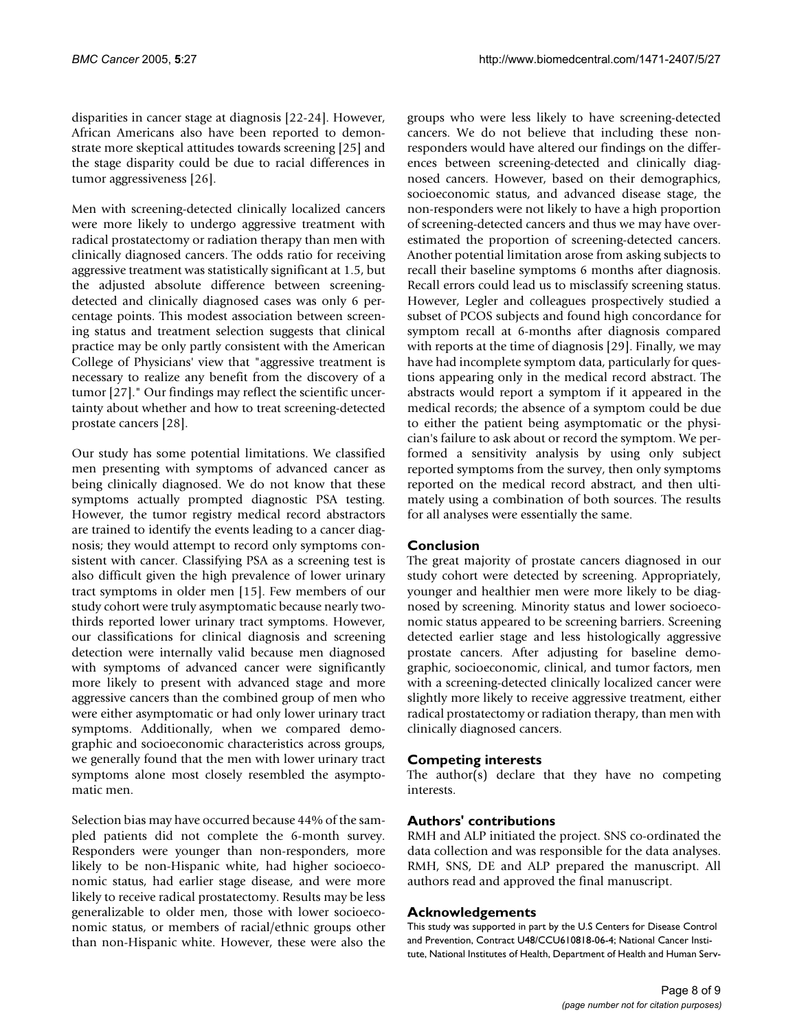disparities in cancer stage at diagnosis [22-24]. However, African Americans also have been reported to demonstrate more skeptical attitudes towards screening [25] and the stage disparity could be due to racial differences in tumor aggressiveness [26].

Men with screening-detected clinically localized cancers were more likely to undergo aggressive treatment with radical prostatectomy or radiation therapy than men with clinically diagnosed cancers. The odds ratio for receiving aggressive treatment was statistically significant at 1.5, but the adjusted absolute difference between screeningdetected and clinically diagnosed cases was only 6 percentage points. This modest association between screening status and treatment selection suggests that clinical practice may be only partly consistent with the American College of Physicians' view that "aggressive treatment is necessary to realize any benefit from the discovery of a tumor [27]." Our findings may reflect the scientific uncertainty about whether and how to treat screening-detected prostate cancers [28].

Our study has some potential limitations. We classified men presenting with symptoms of advanced cancer as being clinically diagnosed. We do not know that these symptoms actually prompted diagnostic PSA testing. However, the tumor registry medical record abstractors are trained to identify the events leading to a cancer diagnosis; they would attempt to record only symptoms consistent with cancer. Classifying PSA as a screening test is also difficult given the high prevalence of lower urinary tract symptoms in older men [15]. Few members of our study cohort were truly asymptomatic because nearly twothirds reported lower urinary tract symptoms. However, our classifications for clinical diagnosis and screening detection were internally valid because men diagnosed with symptoms of advanced cancer were significantly more likely to present with advanced stage and more aggressive cancers than the combined group of men who were either asymptomatic or had only lower urinary tract symptoms. Additionally, when we compared demographic and socioeconomic characteristics across groups, we generally found that the men with lower urinary tract symptoms alone most closely resembled the asymptomatic men.

Selection bias may have occurred because 44% of the sampled patients did not complete the 6-month survey. Responders were younger than non-responders, more likely to be non-Hispanic white, had higher socioeconomic status, had earlier stage disease, and were more likely to receive radical prostatectomy. Results may be less generalizable to older men, those with lower socioeconomic status, or members of racial/ethnic groups other than non-Hispanic white. However, these were also the groups who were less likely to have screening-detected cancers. We do not believe that including these nonresponders would have altered our findings on the differences between screening-detected and clinically diagnosed cancers. However, based on their demographics, socioeconomic status, and advanced disease stage, the non-responders were not likely to have a high proportion of screening-detected cancers and thus we may have overestimated the proportion of screening-detected cancers. Another potential limitation arose from asking subjects to recall their baseline symptoms 6 months after diagnosis. Recall errors could lead us to misclassify screening status. However, Legler and colleagues prospectively studied a subset of PCOS subjects and found high concordance for symptom recall at 6-months after diagnosis compared with reports at the time of diagnosis [29]. Finally, we may have had incomplete symptom data, particularly for questions appearing only in the medical record abstract. The abstracts would report a symptom if it appeared in the medical records; the absence of a symptom could be due to either the patient being asymptomatic or the physician's failure to ask about or record the symptom. We performed a sensitivity analysis by using only subject reported symptoms from the survey, then only symptoms reported on the medical record abstract, and then ultimately using a combination of both sources. The results for all analyses were essentially the same.

# **Conclusion**

The great majority of prostate cancers diagnosed in our study cohort were detected by screening. Appropriately, younger and healthier men were more likely to be diagnosed by screening. Minority status and lower socioeconomic status appeared to be screening barriers. Screening detected earlier stage and less histologically aggressive prostate cancers. After adjusting for baseline demographic, socioeconomic, clinical, and tumor factors, men with a screening-detected clinically localized cancer were slightly more likely to receive aggressive treatment, either radical prostatectomy or radiation therapy, than men with clinically diagnosed cancers.

# **Competing interests**

The author(s) declare that they have no competing interests.

# **Authors' contributions**

RMH and ALP initiated the project. SNS co-ordinated the data collection and was responsible for the data analyses. RMH, SNS, DE and ALP prepared the manuscript. All authors read and approved the final manuscript.

## **Acknowledgements**

This study was supported in part by the U.S Centers for Disease Control and Prevention, Contract U48/CCU610818-06-4; National Cancer Institute, National Institutes of Health, Department of Health and Human Serv